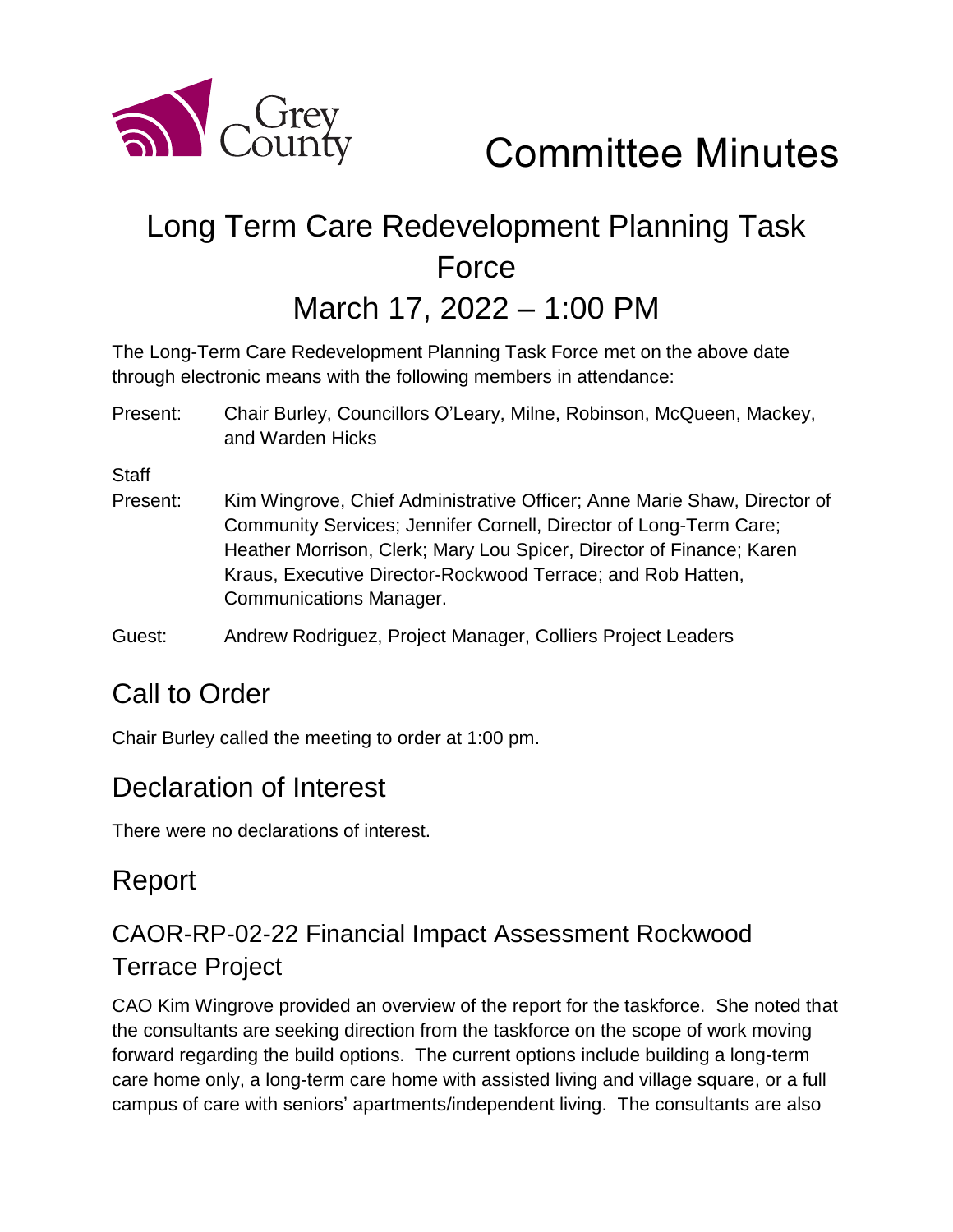

Committee Minutes

# Long Term Care Redevelopment Planning Task Force March 17, 2022 – 1:00 PM

The Long-Term Care Redevelopment Planning Task Force met on the above date through electronic means with the following members in attendance:

Present: Chair Burley, Councillors O'Leary, Milne, Robinson, McQueen, Mackey, and Warden Hicks

**Staff** 

Present: Kim Wingrove, Chief Administrative Officer; Anne Marie Shaw, Director of Community Services; Jennifer Cornell, Director of Long-Term Care; Heather Morrison, Clerk; Mary Lou Spicer, Director of Finance; Karen Kraus, Executive Director-Rockwood Terrace; and Rob Hatten, Communications Manager.

Guest: Andrew Rodriguez, Project Manager, Colliers Project Leaders

# Call to Order

Chair Burley called the meeting to order at 1:00 pm.

### Declaration of Interest

There were no declarations of interest.

# Report

### CAOR-RP-02-22 Financial Impact Assessment Rockwood Terrace Project

CAO Kim Wingrove provided an overview of the report for the taskforce. She noted that the consultants are seeking direction from the taskforce on the scope of work moving forward regarding the build options. The current options include building a long-term care home only, a long-term care home with assisted living and village square, or a full campus of care with seniors' apartments/independent living. The consultants are also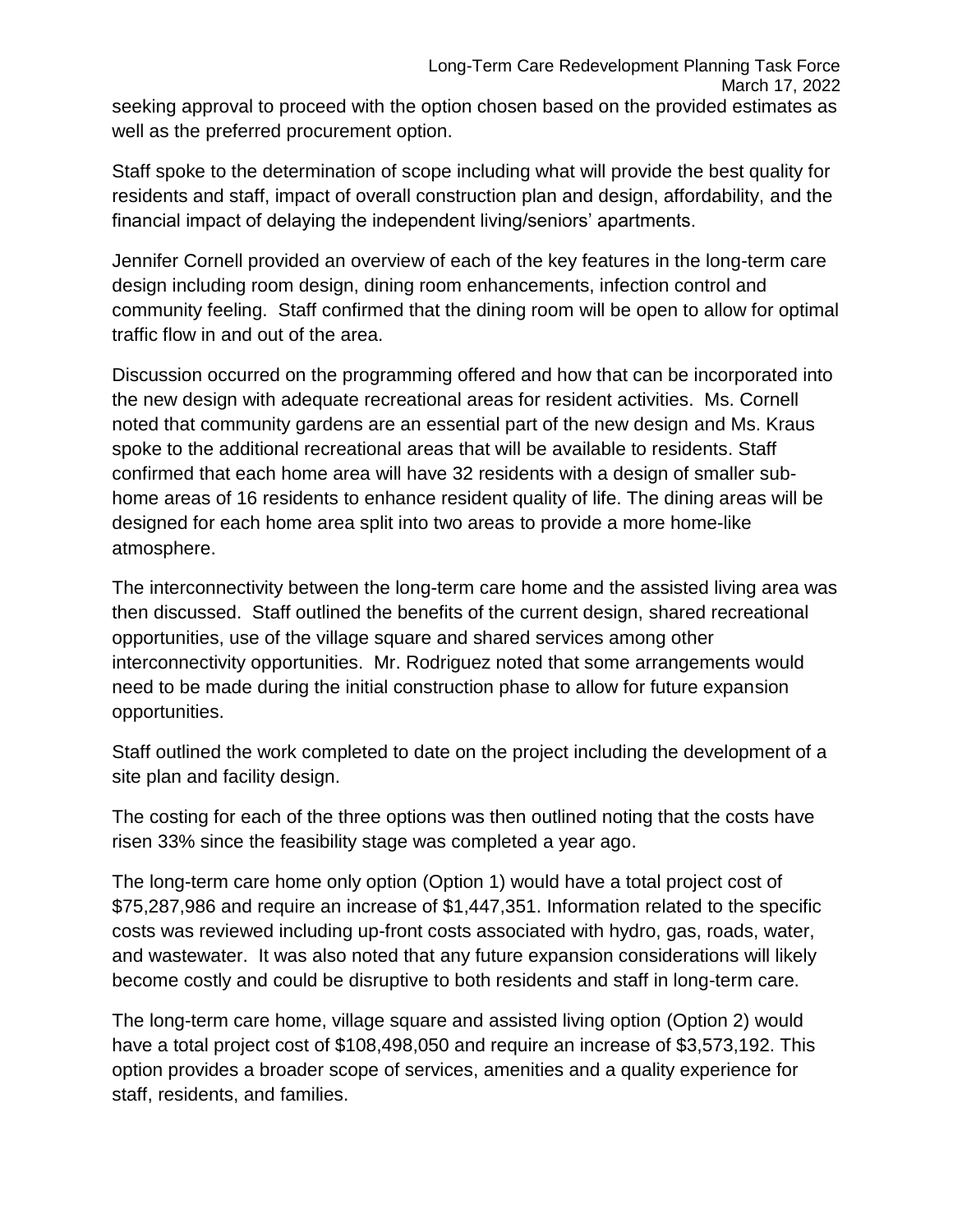Staff spoke to the determination of scope including what will provide the best quality for residents and staff, impact of overall construction plan and design, affordability, and the financial impact of delaying the independent living/seniors' apartments.

well as the preferred procurement option.

Jennifer Cornell provided an overview of each of the key features in the long-term care design including room design, dining room enhancements, infection control and community feeling. Staff confirmed that the dining room will be open to allow for optimal traffic flow in and out of the area.

Discussion occurred on the programming offered and how that can be incorporated into the new design with adequate recreational areas for resident activities. Ms. Cornell noted that community gardens are an essential part of the new design and Ms. Kraus spoke to the additional recreational areas that will be available to residents. Staff confirmed that each home area will have 32 residents with a design of smaller subhome areas of 16 residents to enhance resident quality of life. The dining areas will be designed for each home area split into two areas to provide a more home-like atmosphere.

The interconnectivity between the long-term care home and the assisted living area was then discussed. Staff outlined the benefits of the current design, shared recreational opportunities, use of the village square and shared services among other interconnectivity opportunities. Mr. Rodriguez noted that some arrangements would need to be made during the initial construction phase to allow for future expansion opportunities.

Staff outlined the work completed to date on the project including the development of a site plan and facility design.

The costing for each of the three options was then outlined noting that the costs have risen 33% since the feasibility stage was completed a year ago.

The long-term care home only option (Option 1) would have a total project cost of \$75,287,986 and require an increase of \$1,447,351. Information related to the specific costs was reviewed including up-front costs associated with hydro, gas, roads, water, and wastewater. It was also noted that any future expansion considerations will likely become costly and could be disruptive to both residents and staff in long-term care.

The long-term care home, village square and assisted living option (Option 2) would have a total project cost of \$108,498,050 and require an increase of \$3,573,192. This option provides a broader scope of services, amenities and a quality experience for staff, residents, and families.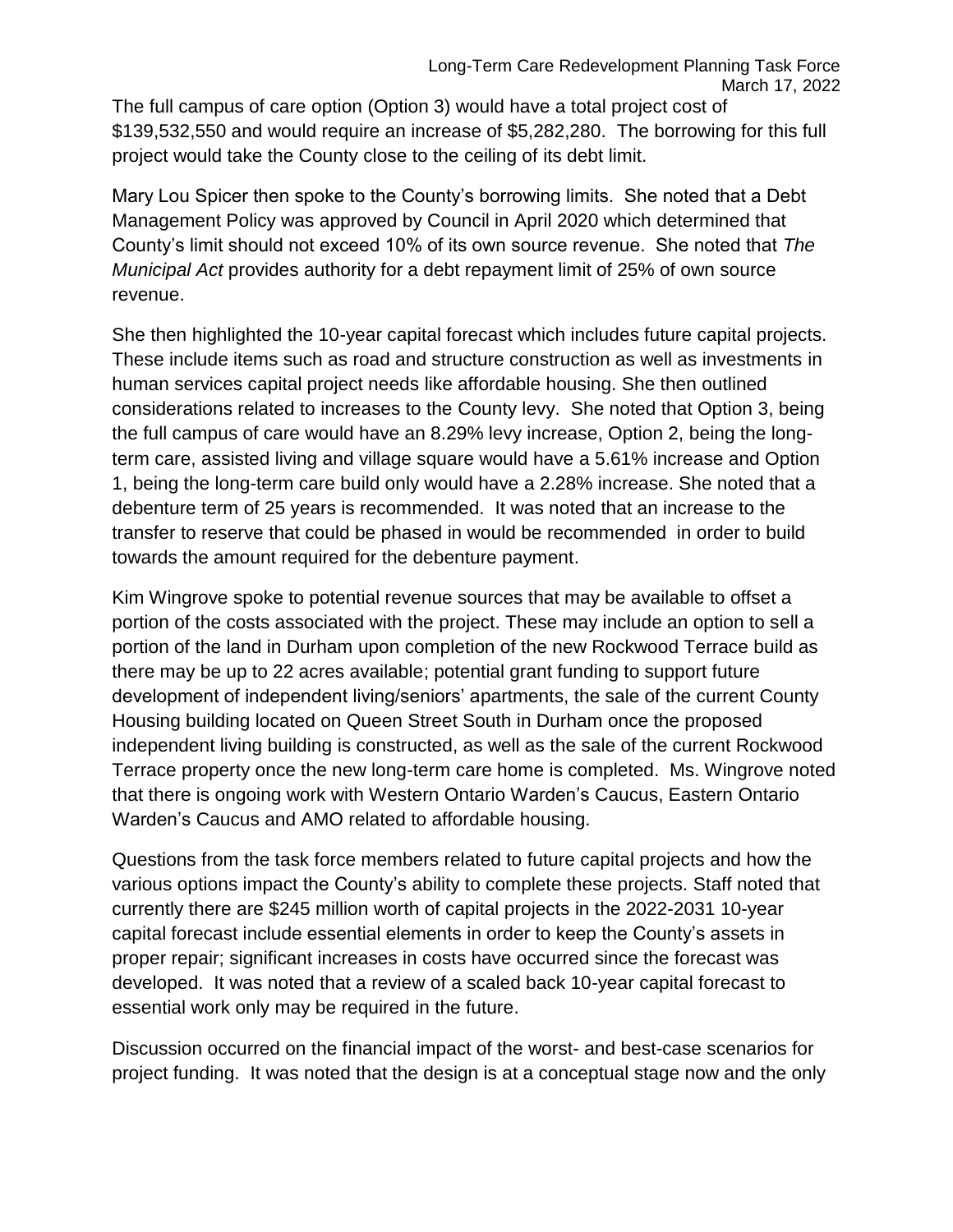The full campus of care option (Option 3) would have a total project cost of \$139,532,550 and would require an increase of \$5,282,280. The borrowing for this full project would take the County close to the ceiling of its debt limit.

Mary Lou Spicer then spoke to the County's borrowing limits. She noted that a Debt Management Policy was approved by Council in April 2020 which determined that County's limit should not exceed 10% of its own source revenue. She noted that *The Municipal Act* provides authority for a debt repayment limit of 25% of own source revenue.

She then highlighted the 10-year capital forecast which includes future capital projects. These include items such as road and structure construction as well as investments in human services capital project needs like affordable housing. She then outlined considerations related to increases to the County levy. She noted that Option 3, being the full campus of care would have an 8.29% levy increase, Option 2, being the longterm care, assisted living and village square would have a 5.61% increase and Option 1, being the long-term care build only would have a 2.28% increase. She noted that a debenture term of 25 years is recommended. It was noted that an increase to the transfer to reserve that could be phased in would be recommended in order to build towards the amount required for the debenture payment.

Kim Wingrove spoke to potential revenue sources that may be available to offset a portion of the costs associated with the project. These may include an option to sell a portion of the land in Durham upon completion of the new Rockwood Terrace build as there may be up to 22 acres available; potential grant funding to support future development of independent living/seniors' apartments, the sale of the current County Housing building located on Queen Street South in Durham once the proposed independent living building is constructed, as well as the sale of the current Rockwood Terrace property once the new long-term care home is completed. Ms. Wingrove noted that there is ongoing work with Western Ontario Warden's Caucus, Eastern Ontario Warden's Caucus and AMO related to affordable housing.

Questions from the task force members related to future capital projects and how the various options impact the County's ability to complete these projects. Staff noted that currently there are \$245 million worth of capital projects in the 2022-2031 10-year capital forecast include essential elements in order to keep the County's assets in proper repair; significant increases in costs have occurred since the forecast was developed. It was noted that a review of a scaled back 10-year capital forecast to essential work only may be required in the future.

Discussion occurred on the financial impact of the worst- and best-case scenarios for project funding. It was noted that the design is at a conceptual stage now and the only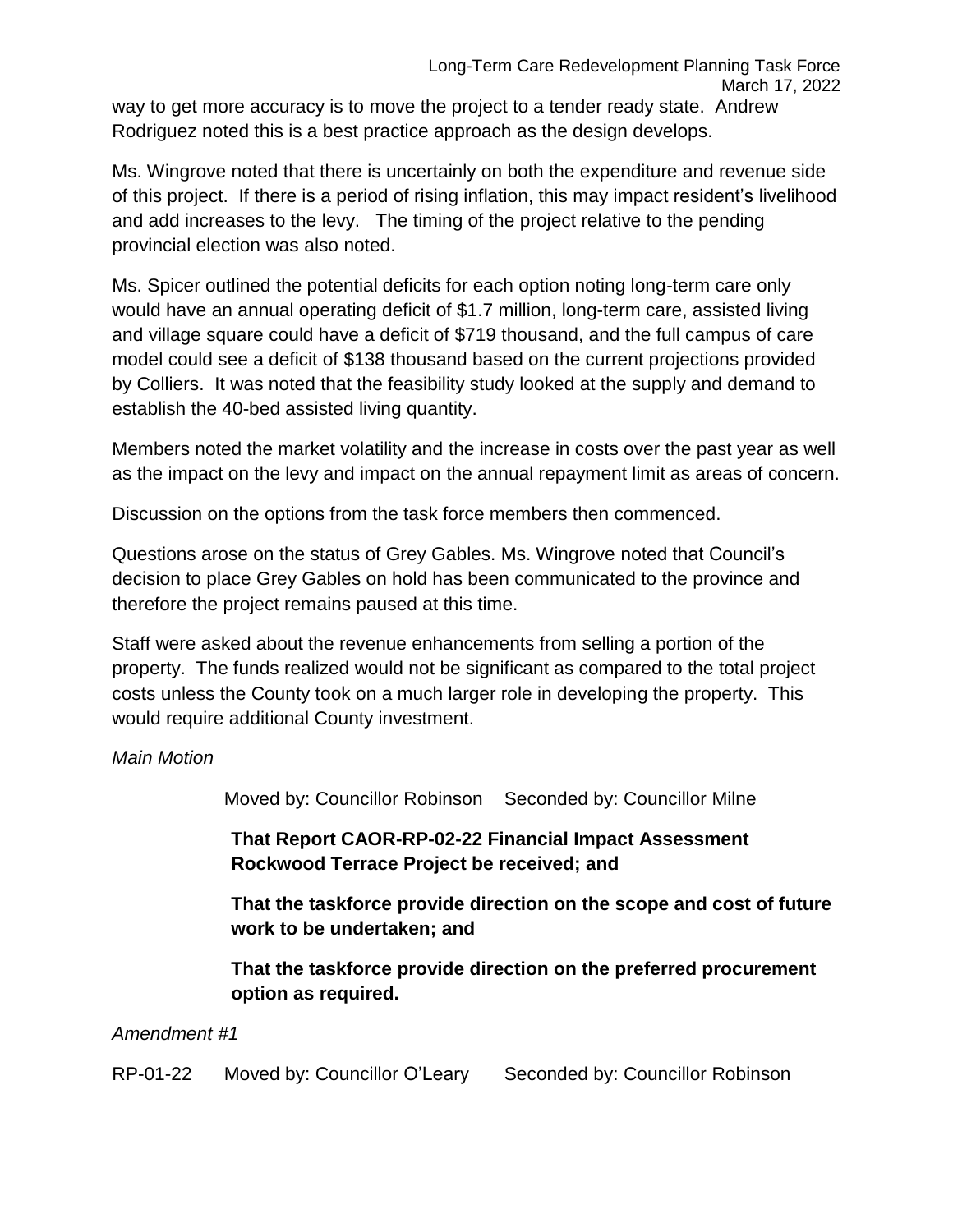Rodriguez noted this is a best practice approach as the design develops.

Ms. Wingrove noted that there is uncertainly on both the expenditure and revenue side of this project. If there is a period of rising inflation, this may impact resident's livelihood and add increases to the levy. The timing of the project relative to the pending provincial election was also noted.

Ms. Spicer outlined the potential deficits for each option noting long-term care only would have an annual operating deficit of \$1.7 million, long-term care, assisted living and village square could have a deficit of \$719 thousand, and the full campus of care model could see a deficit of \$138 thousand based on the current projections provided by Colliers. It was noted that the feasibility study looked at the supply and demand to establish the 40-bed assisted living quantity.

Members noted the market volatility and the increase in costs over the past year as well as the impact on the levy and impact on the annual repayment limit as areas of concern.

Discussion on the options from the task force members then commenced.

Questions arose on the status of Grey Gables. Ms. Wingrove noted that Council's decision to place Grey Gables on hold has been communicated to the province and therefore the project remains paused at this time.

Staff were asked about the revenue enhancements from selling a portion of the property. The funds realized would not be significant as compared to the total project costs unless the County took on a much larger role in developing the property. This would require additional County investment.

*Main Motion*

Moved by: Councillor Robinson Seconded by: Councillor Milne

**That Report CAOR-RP-02-22 Financial Impact Assessment Rockwood Terrace Project be received; and**

**That the taskforce provide direction on the scope and cost of future work to be undertaken; and**

**That the taskforce provide direction on the preferred procurement option as required.**

#### *Amendment #1*

RP-01-22 Moved by: Councillor O'Leary Seconded by: Councillor Robinson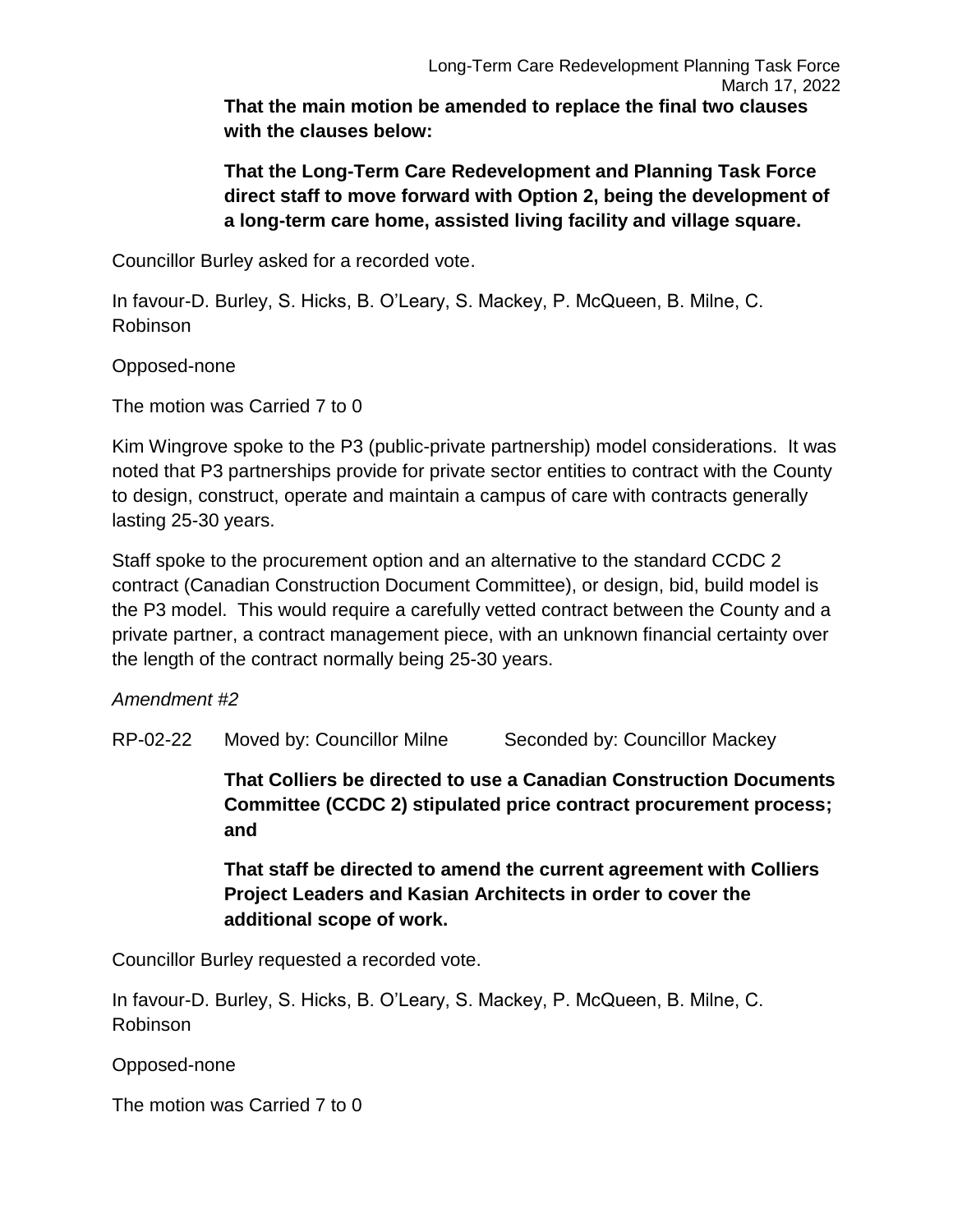**That the main motion be amended to replace the final two clauses with the clauses below:**

**That the Long-Term Care Redevelopment and Planning Task Force direct staff to move forward with Option 2, being the development of a long-term care home, assisted living facility and village square.**

Councillor Burley asked for a recorded vote.

In favour-D. Burley, S. Hicks, B. O'Leary, S. Mackey, P. McQueen, B. Milne, C. Robinson

Opposed-none

The motion was Carried 7 to 0

Kim Wingrove spoke to the P3 (public-private partnership) model considerations. It was noted that P3 partnerships provide for private sector entities to contract with the County to design, construct, operate and maintain a campus of care with contracts generally lasting 25-30 years.

Staff spoke to the procurement option and an alternative to the standard CCDC 2 contract (Canadian Construction Document Committee), or design, bid, build model is the P3 model. This would require a carefully vetted contract between the County and a private partner, a contract management piece, with an unknown financial certainty over the length of the contract normally being 25-30 years.

*Amendment #2*

RP-02-22 Moved by: Councillor Milne Seconded by: Councillor Mackey

**That Colliers be directed to use a Canadian Construction Documents Committee (CCDC 2) stipulated price contract procurement process; and**

**That staff be directed to amend the current agreement with Colliers Project Leaders and Kasian Architects in order to cover the additional scope of work.**

Councillor Burley requested a recorded vote.

In favour-D. Burley, S. Hicks, B. O'Leary, S. Mackey, P. McQueen, B. Milne, C. Robinson

Opposed-none

The motion was Carried 7 to 0